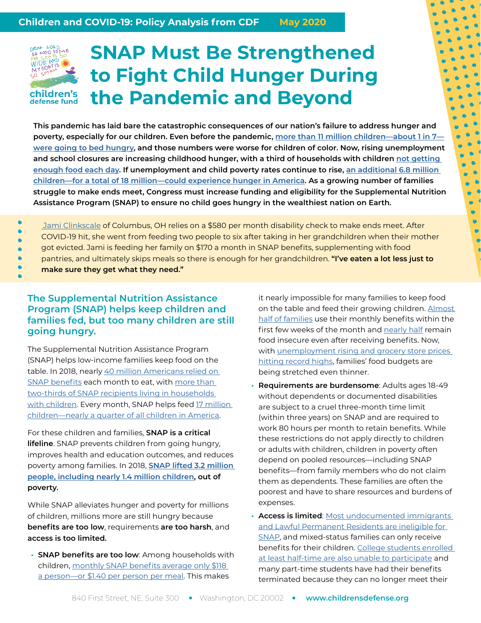## DEAR LORD<br>BE 6000 TO **MIDE** children's defense fund

# **SNAP Must Be Strengthened to Fight Child Hunger During the Pandemic and Beyond**

**This pandemic has laid bare the catastrophic consequences of our nation's failure to address hunger and poverty, especially for our children. Even before the pandemic, [more than 11 million children—about 1 in 7](https://www.feedingamerica.org/sites/default/files/2020-04/Brief_Impact%20of%20Covid%20on%20Child%20Food%20Insecurity%204.22.20.pdf) [were going to bed hungry](https://www.feedingamerica.org/sites/default/files/2020-04/Brief_Impact%20of%20Covid%20on%20Child%20Food%20Insecurity%204.22.20.pdf), and those numbers were worse for children of color. Now, rising unemployment and school closures are increasing childhood hunger, with a third of households with children [not getting](https://www.brookings.edu/blog/up-front/2020/05/06/the-covid-19-crisis-has-already-left-too-many-children-hungry-in-america/)  [enough food each day.](https://www.brookings.edu/blog/up-front/2020/05/06/the-covid-19-crisis-has-already-left-too-many-children-hungry-in-america/) If unemployment and child poverty rates continue to rise, [an additional 6.8 million](https://www.feedingamerica.org/sites/default/files/2020-04/Brief_Impact%20of%20Covid%20on%20Child%20Food%20Insecurity%204.22.20.pdf)  [children—for a total of 18 million—could experience hunger in America](https://www.feedingamerica.org/sites/default/files/2020-04/Brief_Impact%20of%20Covid%20on%20Child%20Food%20Insecurity%204.22.20.pdf). As a growing number of families struggle to make ends meet, Congress must increase funding and eligibility for the Supplemental Nutrition Assistance Program (SNAP) to ensure no child goes hungry in the wealthiest nation on Earth.**

Jami Clinkscale of Columbus, OH relies on a \$580 per month disability check to make ends meet. After

- COVID-19 hit, she went from feeding two people to six after taking in her grandchildren when their mother
- got evicted. Jami is feeding her family on \$170 a month in SNAP benefits, supplementing with food
- pantries, and ultimately skips meals so there is enough for her grandchildren. **"I've eaten a lot less just to**
- **make sure they get what they need."**

#### **The Supplemental Nutrition Assistance Program (SNAP) helps keep children and families fed, but too many children are still going hungry.**

The Supplemental Nutrition Assistance Program (SNAP) helps low-income families keep food on the table. In 2018, nearly [40 million Americans relied on](https://fns-prod.azureedge.net/sites/default/files/resource-files/Characteristics2018.pdf)  [SNAP benefits](https://fns-prod.azureedge.net/sites/default/files/resource-files/Characteristics2018.pdf) each month to eat, with more than [two-thirds of SNAP recipients living in households](https://www.cbpp.org/sites/default/files/atoms/files/3-13-12fa-chartbook.pdf)  [with children.](https://www.cbpp.org/sites/default/files/atoms/files/3-13-12fa-chartbook.pdf) Every month, SNAP helps feed [17 million](https://www.childrensdefense.org/policy/resources/soac-2020-child-hunger/)  [children—nearly a quarter of all children in America](https://www.childrensdefense.org/policy/resources/soac-2020-child-hunger/).

For these children and families, **SNAP is a critical lifeline**. SNAP prevents children from going hungry, improves health and education outcomes, and reduces poverty among families. In 2018, **[SNAP lifted 3.2 million](https://www.census.gov/content/dam/Census/library/publications/2019/demo/p60-268.pdf)  [people, including nearly 1.4 million children](https://www.census.gov/content/dam/Census/library/publications/2019/demo/p60-268.pdf), out of poverty.** 

While SNAP alleviates hunger and poverty for millions of children, millions more are still hungry because **benefits are too low**, requirements **are too harsh**, and **access is too limited.** 

**• SNAP benefits are too low**: Among households with children, monthly SNAP benefits average only \$118 [a person—or \\$1.40 per person per meal.](https://fns-prod.azureedge.net/sites/default/files/resource-files/Characteristics2018.pdf) This makes

it nearly impossible for many families to keep food on the table and feed their growing children. [Almost](https://fns-prod.azureedge.net/sites/default/files/ARRASpendingPatterns_Summary.pdf)  [half of families](https://fns-prod.azureedge.net/sites/default/files/ARRASpendingPatterns_Summary.pdf) use their monthly benefits within the first few weeks of the month and [nearly half](https://www.ers.usda.gov/webdocs/publications/94849/err-270.pdf?v=963.1) remain food insecure even after receiving benefits. Now, with unemployment rising and grocery store prices [hitting record highs,](https://www.washingtonpost.com/business/2020/05/12/april-saw-sharpest-increase-grocery-store-prices-nearly-50-years/) families' food budgets are being stretched even thinner.

- **• Requirements are burdensome**: Adults ages 18-49 without dependents or documented disabilities are subject to a cruel three-month time limit (within three years) on SNAP and are required to work 80 hours per month to retain benefits. While these restrictions do not apply directly to children or adults with children, children in poverty often depend on pooled resources—including SNAP benefits—from family members who do not claim them as dependents. These families are often the poorest and have to share resources and burdens of expenses.
- **• Access is limited**: [Most undocumented immigrants](https://www.nilc.org/wp-content/uploads/2019/05/Non-Citizen_Guidance_063011.pdf)  [and Lawful Permanent Residents are ineligible for](https://www.nilc.org/wp-content/uploads/2019/05/Non-Citizen_Guidance_063011.pdf)  [SNAP](https://www.nilc.org/wp-content/uploads/2019/05/Non-Citizen_Guidance_063011.pdf), and mixed-status families can only receive benefits for their children. [College students enrolled](https://www.clasp.org/sites/default/files/publications/2017/10/SNAP%20for%20College%20Students-An%20Overview.pdf)  [at least half-time are also unable to participate](https://www.clasp.org/sites/default/files/publications/2017/10/SNAP%20for%20College%20Students-An%20Overview.pdf) and many part-time students have had their benefits terminated because they can no longer meet their